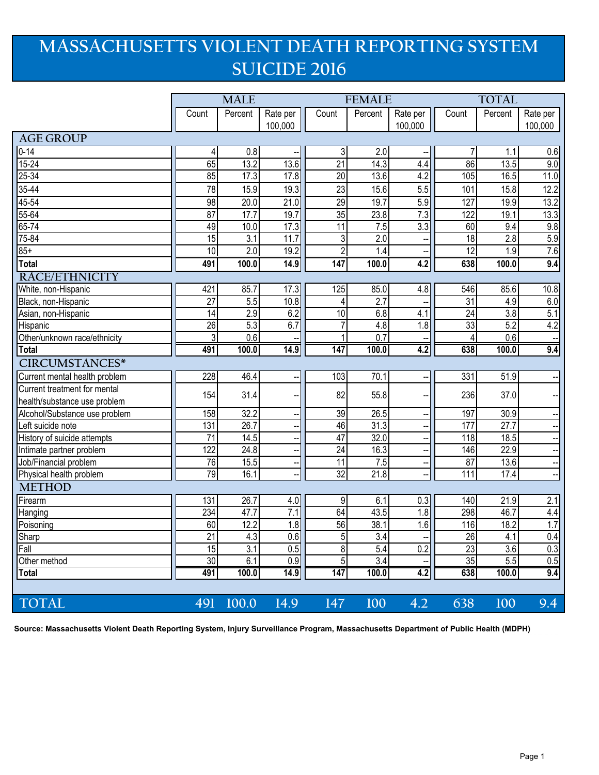## **MASSACHUSETTS VIOLENT DEATH REPORTING SYSTEM SUICIDE 2016**

|                               | <b>MALE</b>     |                  |                  | <b>FEMALE</b>   |                  |          | <b>TOTAL</b>    |                   |                          |
|-------------------------------|-----------------|------------------|------------------|-----------------|------------------|----------|-----------------|-------------------|--------------------------|
|                               | Count           | Percent          | Rate per         | Count           | Percent          | Rate per | Count           | Percent           | Rate per                 |
|                               |                 |                  | 100,000          |                 |                  | 100,000  |                 |                   | 100,000                  |
| <b>AGE GROUP</b>              |                 |                  |                  |                 |                  |          |                 |                   |                          |
| $\overline{0}$ -14            | 4               | 0.8              |                  | 3               | 2.0              |          | 7               | 1.1               | 0.6                      |
| $15 - 24$                     | 65              | 13.2             | 13.6             | $\overline{21}$ | 14.3             | 4.4      | 86              | 13.5              | 9.0                      |
| $25 - 34$                     | 85              | 17.3             | 17.8             | $\overline{20}$ | 13.6             | 4.2      | 105             | 16.5              | 11.0                     |
| 35-44                         | 78              | 15.9             | 19.3             | 23              | 15.6             | 5.5      | 101             | 15.8              | 12.2                     |
| 45-54                         | 98              | 20.0             | 21.0             | 29              | 19.7             | 5.9      | 127             | 19.9              | 13.2                     |
| $55 - 64$                     | 87              | 17.7             | 19.7             | 35              | 23.8             | 7.3      | 122             | 19.1              | 13.3                     |
| $65 - 74$                     | 49              | 10.0             | 17.3             | 11              | 7.5              | 3.3      | 60              | 9.4               | $\overline{9.8}$         |
| 75-84                         | 15              | 3.1              | 11.7             | $\sqrt{3}$      | $\overline{2.0}$ |          | $\overline{18}$ | 2.8               | 5.9                      |
| $85+$                         | 10              | $\overline{2.0}$ | 19.2             | $\overline{2}$  | 1.4              |          | 12              | 1.9               | 7.6                      |
| Total                         | 491             | 100.0            | 14.9             | 147             | 100.0            | 4.2      | 638             | 100.0             | 9.4                      |
| <b>RACE/ETHNICITY</b>         |                 |                  |                  |                 |                  |          |                 |                   |                          |
| White, non-Hispanic           | 421             | 85.7             | 17.3             | 125             | 85.0             | 4.8      | 546             | 85.6              | 10.8                     |
| Black, non-Hispanic           | 27              | 5.5              | 10.8             | $\overline{4}$  | 2.7              |          | 31              | 4.9               | $6.0\,$                  |
| Asian, non-Hispanic           | 14              | 2.9              | 6.2              | 10              | 6.8              | 4.1      | 24              | 3.8               | 5.1                      |
| Hispanic                      | 26              | 5.3              | 6.7              | 7               | 4.8              | 1.8      | 33              | 5.2               | 4.2                      |
| Other/unknown race/ethnicity  | 3               | 0.6              |                  | 1               | 0.7              |          | 4               | 0.6               |                          |
| Total                         | 491             | 100.0            | 14.9             | 147             | 100.0            | 4.2      | 638             | 100.0             | 9.4                      |
| CIRCUMSTANCES*                |                 |                  |                  |                 |                  |          |                 |                   |                          |
| Current mental health problem | 228             | 46.4             |                  | 103             | 70.1             |          | 331             | 51.9              |                          |
| Current treatment for mental  | 154             | 31.4             |                  | 82              | 55.8             |          | 236             | 37.0              |                          |
| health/substance use problem  |                 |                  |                  |                 |                  |          |                 |                   |                          |
| Alcohol/Substance use problem | 158             | 32.2             |                  | 39              | 26.5             |          | 197             | 30.9              |                          |
| Left suicide note             | 131             | 26.7             |                  | 46              | 31.3             |          | 177             | $\overline{27.7}$ |                          |
| History of suicide attempts   | 71              | 14.5             |                  | $\overline{47}$ | 32.0             |          | 118             | 18.5              |                          |
| Intimate partner problem      | 122             | 24.8             |                  | $\overline{24}$ | 16.3             |          | 146             | 22.9              |                          |
| Job/Financial problem         | 76              | 15.5             | $\overline{a}$   | 11              | 7.5              |          | 87              | 13.6              | $\overline{\phantom{a}}$ |
| Physical health problem       | 79              | 16.1             |                  | $\overline{32}$ | 21.8             |          | 111             | 17.4              | $\ddot{\phantom{a}}$     |
| <b>METHOD</b>                 |                 |                  |                  |                 |                  |          |                 |                   |                          |
| Firearm                       | 131             | 26.7             | $4.\overline{0}$ | 9               | 6.1              | 0.3      | 140             | 21.9              | $\overline{2.1}$         |
| Hanging                       | 234             | 47.7             | 7.1              | 64              | 43.5             | 1.8      | 298             | 46.7              | 4.4                      |
| Poisoning                     | $\overline{60}$ | 12.2             | $\overline{1.8}$ | 56              | 38.1             | 1.6      | 116             | 18.2              | 1.7                      |
| Sharp                         | $\overline{21}$ | 4.3              | 0.6              | 5               | 3.4              |          | 26              | 4.1               | 0.4                      |
| Fall                          | 15              | $\overline{3.1}$ | 0.5              | 8               | 5.4              | 0.2      | 23              | 3.6               | 0.3                      |
| Other method                  | 30              | 6.1              | 0.9              | 5               | $\overline{3.4}$ |          | 35              | 5.5               | 0.5                      |
| Total                         | 491             | 100.0            | 14.9             | 147             | 100.0            | 4.2      | 638             | 100.0             | 9.4                      |
|                               |                 |                  |                  |                 |                  |          |                 |                   |                          |
| <b>TOTAL</b>                  | 491             | 100.0            | 14.9             | 147             | 100              | 4.2      | 638             | 100               | 9.4                      |

**Source: Massachusetts Violent Death Reporting System, Injury Surveillance Program, Massachusetts Department of Public Health (MDPH)**